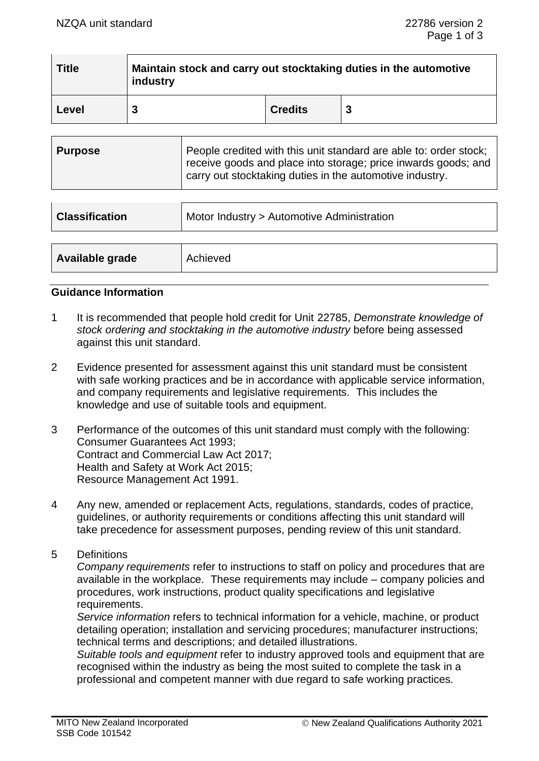| <b>Title</b> | Maintain stock and carry out stocktaking duties in the automotive<br>industry |                |   |
|--------------|-------------------------------------------------------------------------------|----------------|---|
| Level        | 3                                                                             | <b>Credits</b> | 3 |

| <b>Classification</b> | Motor Industry > Automotive Administration |
|-----------------------|--------------------------------------------|
|                       |                                            |
| Available grade       | Achieved                                   |

## **Guidance Information**

- 1 It is recommended that people hold credit for Unit 22785, *Demonstrate knowledge of stock ordering and stocktaking in the automotive industry* before being assessed against this unit standard.
- 2 Evidence presented for assessment against this unit standard must be consistent with safe working practices and be in accordance with applicable service information, and company requirements and legislative requirements. This includes the knowledge and use of suitable tools and equipment.
- 3 Performance of the outcomes of this unit standard must comply with the following: Consumer Guarantees Act 1993; Contract and Commercial Law Act 2017; Health and Safety at Work Act 2015; Resource Management Act 1991.
- 4 Any new, amended or replacement Acts, regulations, standards, codes of practice, guidelines, or authority requirements or conditions affecting this unit standard will take precedence for assessment purposes, pending review of this unit standard.
- 5 Definitions

*Company requirements* refer to instructions to staff on policy and procedures that are available in the workplace. These requirements may include – company policies and procedures, work instructions, product quality specifications and legislative requirements.

*Service information* refers to technical information for a vehicle, machine, or product detailing operation; installation and servicing procedures; manufacturer instructions; technical terms and descriptions; and detailed illustrations.

*Suitable tools and equipment* refer to industry approved tools and equipment that are recognised within the industry as being the most suited to complete the task in a professional and competent manner with due regard to safe working practices.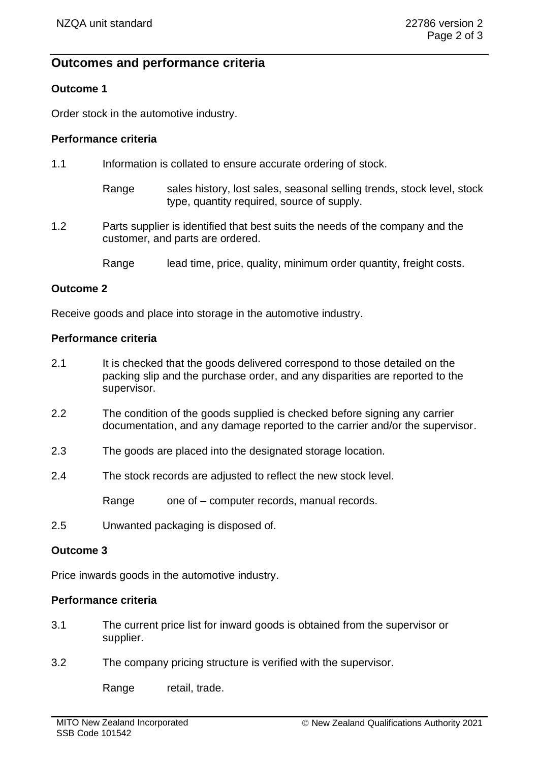# **Outcomes and performance criteria**

# **Outcome 1**

Order stock in the automotive industry.

## **Performance criteria**

- 1.1 Information is collated to ensure accurate ordering of stock.
	- Range sales history, lost sales, seasonal selling trends, stock level, stock type, quantity required, source of supply.
- 1.2 Parts supplier is identified that best suits the needs of the company and the customer, and parts are ordered.
	- Range lead time, price, quality, minimum order quantity, freight costs.

# **Outcome 2**

Receive goods and place into storage in the automotive industry.

## **Performance criteria**

- 2.1 It is checked that the goods delivered correspond to those detailed on the packing slip and the purchase order, and any disparities are reported to the supervisor.
- 2.2 The condition of the goods supplied is checked before signing any carrier documentation, and any damage reported to the carrier and/or the supervisor.
- 2.3 The goods are placed into the designated storage location.
- 2.4 The stock records are adjusted to reflect the new stock level.

Range one of – computer records, manual records,

2.5 Unwanted packaging is disposed of.

## **Outcome 3**

Price inwards goods in the automotive industry.

# **Performance criteria**

- 3.1 The current price list for inward goods is obtained from the supervisor or supplier.
- 3.2 The company pricing structure is verified with the supervisor.

Range retail, trade.